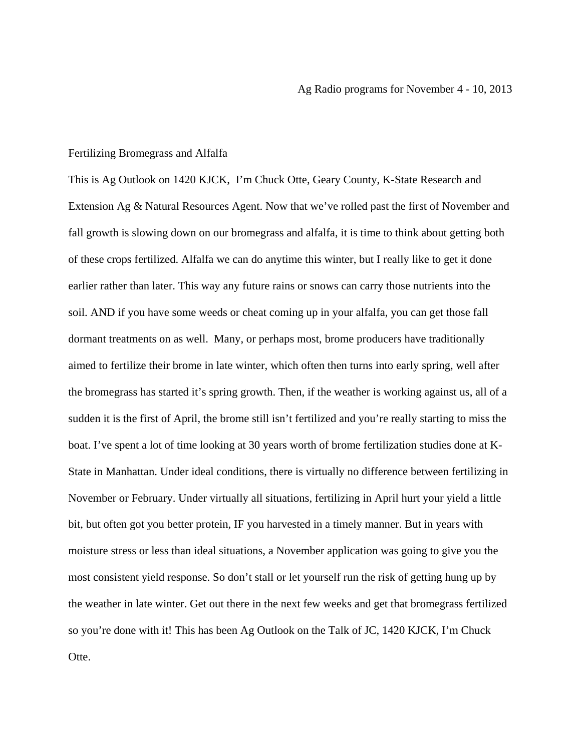## Fertilizing Bromegrass and Alfalfa

This is Ag Outlook on 1420 KJCK, I'm Chuck Otte, Geary County, K-State Research and Extension Ag & Natural Resources Agent. Now that we've rolled past the first of November and fall growth is slowing down on our bromegrass and alfalfa, it is time to think about getting both of these crops fertilized. Alfalfa we can do anytime this winter, but I really like to get it done earlier rather than later. This way any future rains or snows can carry those nutrients into the soil. AND if you have some weeds or cheat coming up in your alfalfa, you can get those fall dormant treatments on as well. Many, or perhaps most, brome producers have traditionally aimed to fertilize their brome in late winter, which often then turns into early spring, well after the bromegrass has started it's spring growth. Then, if the weather is working against us, all of a sudden it is the first of April, the brome still isn't fertilized and you're really starting to miss the boat. I've spent a lot of time looking at 30 years worth of brome fertilization studies done at K-State in Manhattan. Under ideal conditions, there is virtually no difference between fertilizing in November or February. Under virtually all situations, fertilizing in April hurt your yield a little bit, but often got you better protein, IF you harvested in a timely manner. But in years with moisture stress or less than ideal situations, a November application was going to give you the most consistent yield response. So don't stall or let yourself run the risk of getting hung up by the weather in late winter. Get out there in the next few weeks and get that bromegrass fertilized so you're done with it! This has been Ag Outlook on the Talk of JC, 1420 KJCK, I'm Chuck Otte.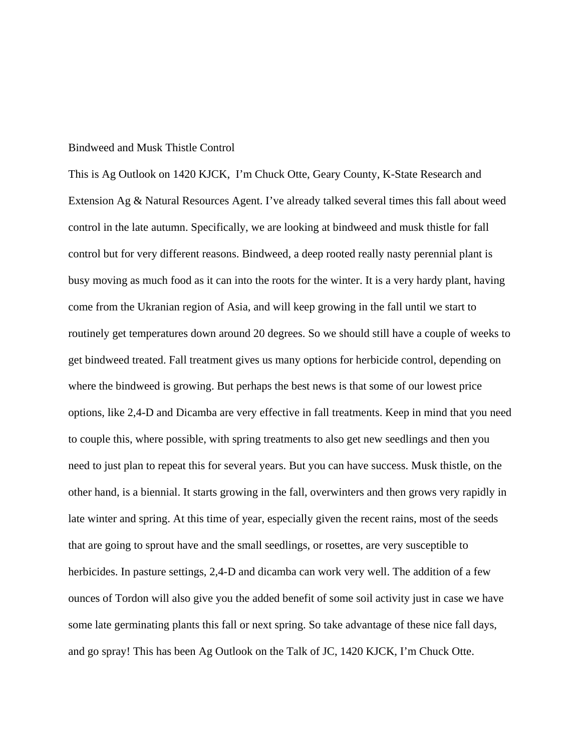## Bindweed and Musk Thistle Control

This is Ag Outlook on 1420 KJCK, I'm Chuck Otte, Geary County, K-State Research and Extension Ag & Natural Resources Agent. I've already talked several times this fall about weed control in the late autumn. Specifically, we are looking at bindweed and musk thistle for fall control but for very different reasons. Bindweed, a deep rooted really nasty perennial plant is busy moving as much food as it can into the roots for the winter. It is a very hardy plant, having come from the Ukranian region of Asia, and will keep growing in the fall until we start to routinely get temperatures down around 20 degrees. So we should still have a couple of weeks to get bindweed treated. Fall treatment gives us many options for herbicide control, depending on where the bindweed is growing. But perhaps the best news is that some of our lowest price options, like 2,4-D and Dicamba are very effective in fall treatments. Keep in mind that you need to couple this, where possible, with spring treatments to also get new seedlings and then you need to just plan to repeat this for several years. But you can have success. Musk thistle, on the other hand, is a biennial. It starts growing in the fall, overwinters and then grows very rapidly in late winter and spring. At this time of year, especially given the recent rains, most of the seeds that are going to sprout have and the small seedlings, or rosettes, are very susceptible to herbicides. In pasture settings, 2,4-D and dicamba can work very well. The addition of a few ounces of Tordon will also give you the added benefit of some soil activity just in case we have some late germinating plants this fall or next spring. So take advantage of these nice fall days, and go spray! This has been Ag Outlook on the Talk of JC, 1420 KJCK, I'm Chuck Otte.